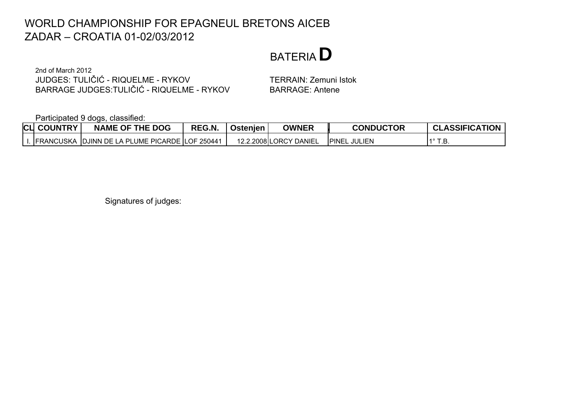## BATERIA**D**

2nd of March 2012 JUDGES: TULIČIĆ - RIQUELME - RYKOVBARRAGE JUDGES:TULIČIĆ - RIQUELME - RYKOV

 TERRAIN: Zemuni Istok BARRAGE: Antene

Participated 9 dogs, classified:

| <b>CLI COUNTRY</b> | <b>NAME OF THE DOG</b>                                  | REG.N. | Ostenjen | <b>OWNER</b>           | <b>CONDUCTOR</b>          | <b>CLASSIFICATION</b> |
|--------------------|---------------------------------------------------------|--------|----------|------------------------|---------------------------|-----------------------|
|                    | <b>IFRANCUSKA IDJINN DE LA PLUME PICARDE LOF 250441</b> |        |          | 12.2.2008 LORCY DANIEL | <b>IPINEL</b><br>. JULIEN | .D                    |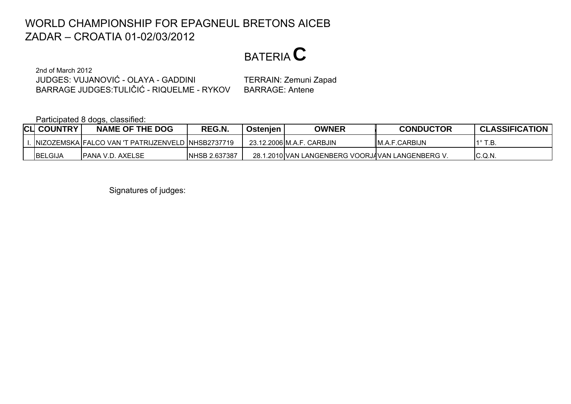BATERIA**C**

2nd of March 2012JUDGES: VUJANOVIĆ - OLAYA - GADDINIBARRAGE JUDGES:TULIČIĆ - RIQUELME - RYKOV

 TERRAIN: Zemuni Zapad BARRAGE: Antene

Participated 8 dogs, classified:

| <b>CLI COUNTRY</b> | <b>NAME OF THE DOG</b>                              | REG.N.               | Ostenien | <b>OWNER</b>                                     | <b>CONDUCTOR</b>       | <b>CLASSIFICATION</b> |
|--------------------|-----------------------------------------------------|----------------------|----------|--------------------------------------------------|------------------------|-----------------------|
|                    | INIZOZEMSKA FALCO VAN 'T PATRIJZENVELD INHSB2737719 |                      |          | 23.12.2006 M.A.F. CARBJIN                        | <b>I</b> M.A.F.CARBIJN | T.B<br>40.            |
| BELGIJA            | <b>PANA V.D. AXELSE</b>                             | <b>NHSB 2.637387</b> |          | 28.1.2010 VAN LANGENBERG VOORJAVAN LANGENBERG V. |                        | C.Q.N.                |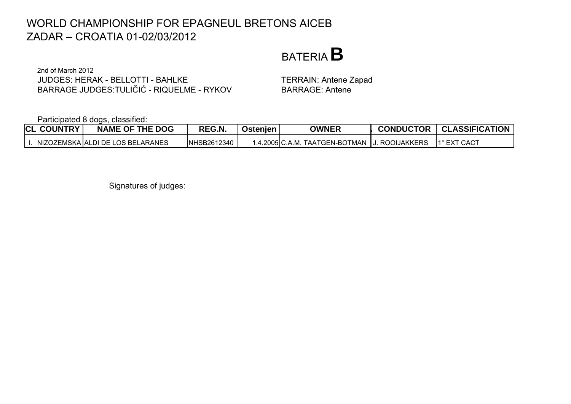## BATERIA**B**

2nd of March 2012JUDGES: HERAK - BELLOTTI - BAHLKEBARRAGE JUDGES:TULIČIĆ - RIQUELME - RYKOV

 TERRAIN: Antene Zapad BARRAGE: Antene

Participated 8 dogs, classified:

|  | <b>CLI COUNTRY</b> | <b>NAME OF THE DOG</b>               | REG.N.      | Ostenjen | <b>OWNER</b>                                   | <b>CONDUCTOR</b> | <b>I</b> CLASSIFICATION |
|--|--------------------|--------------------------------------|-------------|----------|------------------------------------------------|------------------|-------------------------|
|  |                    | .  NIZOZEMSKA  ALDI DE LOS BELARANES | NHSB2612340 |          | 1.4.2005∣C.A.M. TAATGEN-BOTMAN ∥J. ROOIJAKKERS |                  | 1° EXT CACT             |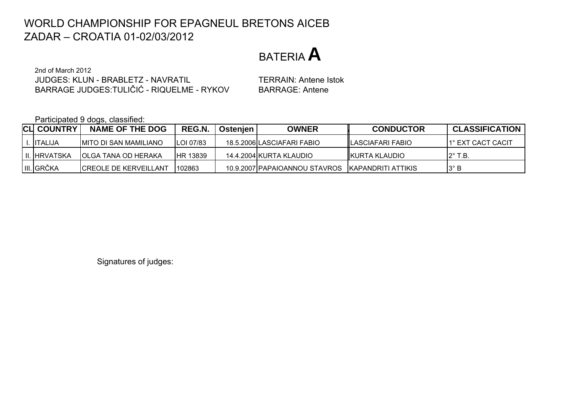BATERIA**A**

2nd of March 2012JUDGES: KLUN - BRABLETZ - NAVRATILBARRAGE JUDGES:TULIČIĆ - RIQUELME - RYKOV

 TERRAIN: Antene Istok BARRAGE: Antene

Participated 9 dogs, classified:

| <b>CLI COUNTRY</b> | <b>NAME OF THE DOG</b>        | REG.N.            | Ostenjen | <b>OWNER</b>                                     | <b>CONDUCTOR</b>         | <b>CLASSIFICATION</b> |
|--------------------|-------------------------------|-------------------|----------|--------------------------------------------------|--------------------------|-----------------------|
| . IITALIJA         | IMITO DI SAN MAMILIANO        | <b>ILOI 07/83</b> |          | 18.5.2006 ILASCIAFARI FABIO                      | <b>ILASCIAFARI FABIO</b> | 11° EXT CACT CACIT    |
| II. HRVATSKA       | IOLGA TANA OD HERAKA          | <b>HR 13839</b>   |          | 14.4.2004 KURTA KLAUDIO                          | <b>IKURTA KLAUDIO</b>    | $12^\circ$ T.B.       |
| III. GRČKA         | <b>ICREOLE DE KERVEILLANT</b> | 102863            |          | 10.9.2007 PAPAIOANNOU STAVROS KAPANDRITI ATTIKIS |                          | I3° B                 |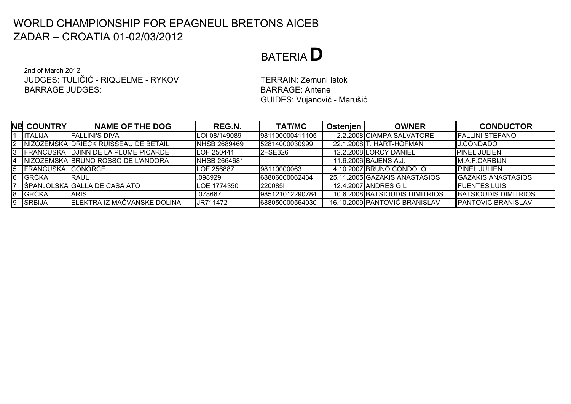## BATERIA**D**

2nd of March 2012JUDGES: TULIČIĆ - RIQUELME - RYKOVBARRAGE JUDGES:

 TERRAIN: Zemuni Istok BARRAGE: AnteneGUIDES: Vujanović - Marušić

|                 | <b>NB COUNTRY</b>        | <b>NAME OF THE DOG</b>               | REG.N.              | <b>TAT/MC</b>   | Ostenien | <b>OWNER</b>                   | <b>CONDUCTOR</b>          |
|-----------------|--------------------------|--------------------------------------|---------------------|-----------------|----------|--------------------------------|---------------------------|
|                 | <b>ITALIJA</b>           | IFALLINI'S DIVA                      | ILOI 08/149089      | 981100000411105 |          | 2.2.2008 CIAMPA SALVATORE      | IFALLINI STEFANO          |
| $\mathsf{I2}^-$ |                          | NIZOZEMSKA DRIECK RUISSEAU DE BETAIL | <b>NHSB 2689469</b> | 152814000030999 |          | 22.1.2008 T. HART-HOFMAN       | <b>J.CONDADO</b>          |
|                 |                          | FRANCUSKA DJINN DE LA PLUME PICARDE  | LOF 250441          | <b>2FSE326</b>  |          | 12.2.2008LORCY DANIEL          | <b>PINEL JULIEN</b>       |
| 4               |                          | INIZOZEMSKA IBRUNO ROSSO DE L'ANDORA | <b>NHSB 2664681</b> |                 |          | 11.6.2006 BAJENS A.J.          | <b>IM.A.F.CARBIJN</b>     |
| 5               | <b>FRANCUSKA CONORCE</b> |                                      | LOF 256887          | 98110000063     |          | 4.10.2007 BRUNO CONDOLO        | IPINEL JULIEN             |
|                 | 6 GRČKA                  | IRAUL                                | .098929             | 68806000062434  |          | 25.11.2005 GAZAKIS ANASTASIOS  | <b>GAZAKIS ANASTASIOS</b> |
|                 |                          | SPANJOLSKA GALLA DE CASA ATO         | LOE 1774350         | 12200851        |          | 12.4.2007 ANDRES GIL           | <b>I</b> FUENTES LUIS     |
| 8               | <b>GRČKA</b>             | <b>ARIS</b>                          | .078667             | 985121012290784 |          | 10.6.2008 BATSIOUDIS DIMITRIOS | BATSIOUDIS DIMITRIOS      |
|                 | 9 SRBIJA                 | ELEKTRA IZ MAČVANSKE DOLINA          | JR711472            | 688050000564030 |          | 16.10.2009 PANTOVIĆ BRANISLAV  | <b>PANTOVIĆ BRANISLAV</b> |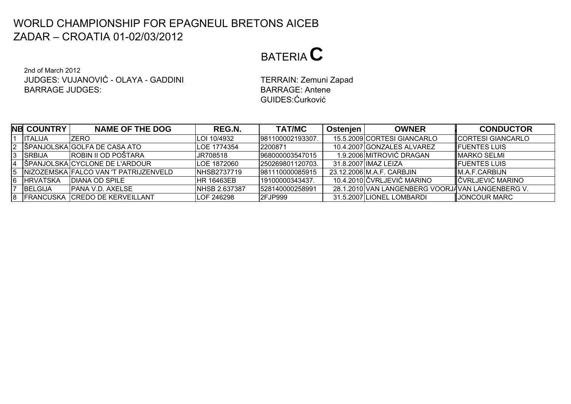# BATERIA**C**

2nd of March 2012JUDGES: VUJANOVIĆ - OLAYA - GADDINIBARRAGE JUDGES:BARRAGE: Antene

 TERRAIN: Zemuni Zapad GUIDES:Ćurković

|   | <b>NB COUNTRY</b> | <b>NAME OF THE DOG</b>                 | REG.N.                | <b>TAT/MC</b>     | <b>Ostenien</b> | <b>OWNER</b>                                     | <b>CONDUCTOR</b>          |
|---|-------------------|----------------------------------------|-----------------------|-------------------|-----------------|--------------------------------------------------|---------------------------|
|   | <b>ITALIJA</b>    | <b>ZERO</b>                            | LOI 10/4932           | 1981100002193307  |                 | 15.5.2009 CORTESI GIANCARLO                      | <b>ICORTESI GIANCARLO</b> |
|   |                   | 2 SPANJOLSKA GOLFA DE CASA ATO         | <b>ILOE 1774354</b>   | 2200871           |                 | 10.4.2007 GONZALES ALVAREZ                       | <b>IFUENTES LUIS</b>      |
|   | 3 SRBIJA          | <b>ROBIN II OD POŠTARA</b>             | JR708518              | 968000003547015   |                 | 1.9.2006 MITROVIĆ DRAGAN                         | <b>IMARKO SELMI</b>       |
|   |                   | 4 SPANJOLSKA CYCLONE DE L'ARDOUR       | <b>LOE 1872060</b>    | I250269801120703. |                 | 31.8.2007 IIMAZ LEIZA                            | <b>IFUENTES LUIS</b>      |
| 5 |                   | INIZOZEMSKA FALCO VAN 'T PATRIJZENVELD | <b>NHSB2737719</b>    | 981110000085915   |                 | 23.12.2006 M.A.F. CARBJIN                        | IM.A.F.CARBIJN            |
| 6 | <b>HRVATSKA</b>   | <b>IDIANA OD SPILE</b>                 | <b>IHR 16463EB</b>    | 19100000343437.   |                 | 10.4.2010 ČVRLJEVIĆ MARINO                       | <b>I</b> ČVRLJEVIĆ MARINO |
|   | <b>BELGIJA</b>    | <b>IPANA V.D. AXELSE</b>               | <b>INHSB 2.637387</b> | 528140000258991   |                 | 28.1.2010 VAN LANGENBERG VOORJAVAN LANGENBERG V. |                           |
|   |                   | 8   FRANCUSKA CREDO DE KERVEILLANT     | <b>LOF 246298</b>     | <b>2FJP999</b>    |                 | 31.5.2007 LIONEL LOMBARDI                        | JONCOUR MARC              |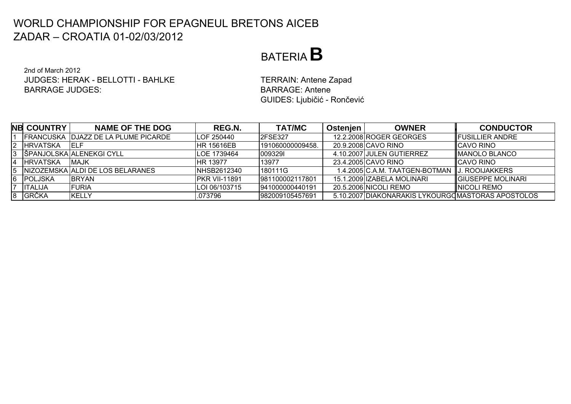## BATERIA**B**

2nd of March 2012JUDGES: HERAK - BELLOTTI - BAHLKEBARRAGE JUDGES:

 TERRAIN: Antene Zapad BARRAGE: AnteneGUIDES: Ljubičić - Rončević

|    | <b>NB COUNTRY!</b> | <b>NAME OF THE DOG</b>                       | REG.N.                | <b>TAT/MC</b>    | Ostenjen | <b>OWNER</b>                                      | <b>CONDUCTOR</b>          |
|----|--------------------|----------------------------------------------|-----------------------|------------------|----------|---------------------------------------------------|---------------------------|
|    |                    | <b>IFRANCUSKA IDJAZZ DE LA PLUME PICARDE</b> | <b>LOF 250440</b>     | <b>I2FSE327</b>  |          | 12.2.2008 ROGER GEORGES                           | <b>IFUSILLIER ANDRE</b>   |
|    | <b>IHRVATSKA</b>   | IELF                                         | <b>HR 15616EB</b>     | 191060000009458. |          | 20.9.2008 CAVO RINO                               | <b>ICAVO RINO</b>         |
|    |                    | IŠPANJOLSKAIALENEKGI CYLL                    | LOE 1739464           | 0093291          |          | 4.10.2007 JULEN GUTIERREZ                         | <b>IMANOLO BLANCO</b>     |
|    | <b>IHRVATSKA</b>   | <b>IMAJK</b>                                 | <b>IHR 13977</b>      | 13977            |          | 23.4.2005 CAVO RINO                               | <b>ICAVO RINO</b>         |
| 15 |                    | INIZOZEMSKA JALDI DE LOS BELARANES           | NHSB2612340           | 180111G          |          | 1.4.2005 C.A.M. TAATGEN-BOTMAN   J. ROOIJAKKERS   |                           |
| 16 | <b>POLJSKA</b>     | <b>IBRYAN</b>                                | <b>IPKR VII-11891</b> | 981100002117801  |          | 15.1.2009 IZABELA MOLINARI                        | <b>IGIUSEPPE MOLINARI</b> |
|    | ITALIJA            | <b>FURIA</b>                                 | LOI 06/103715         | 941000000440191  |          | 20.5.2006 NICOLI REMO                             | <b>INICOLI REMO</b>       |
| 18 | <b>GRČKA</b>       | KELLY                                        | .073796               | 982009105457691  |          | 5.10.2007 DIAKONARAKIS LYKOURGOMASTORAS APOSTOLOS |                           |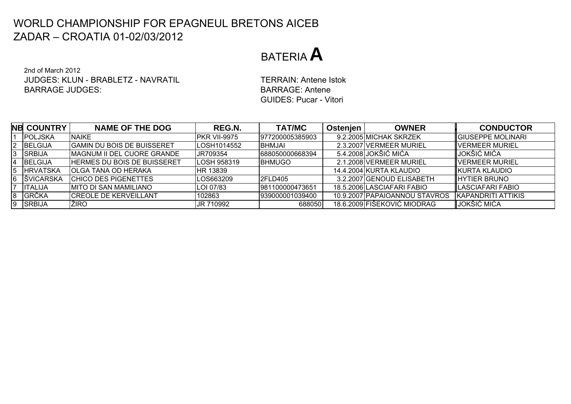## BATERIA**A**

2nd of March 2012JUDGES: KLUN - BRABLETZ - NAVRATILBARRAGE JUDGES:

 TERRAIN: Antene Istok BARRAGE: AnteneGUIDES: Pucar - Vitori

|    | <b>NB COUNTRY!</b> | <b>NAME OF THE DOG</b>      | REG.N.              | <b>TAT/MC</b>    | Ostenjen | <b>OWNER</b>                  | <b>CONDUCTOR</b>           |
|----|--------------------|-----------------------------|---------------------|------------------|----------|-------------------------------|----------------------------|
|    | <b>POLJSKA</b>     | <b>NAIKE</b>                | <b>PKR VII-9975</b> | 977200005385903  |          | 9.2.2005 MICHAK SKRZEK        | <b>GIUSEPPE MOLINARI</b>   |
|    | BELGIJA            | IGAMIN DU BOIS DE BUISSERET | LOSH1014552         | <b>BHMJAI</b>    |          | 2.3.2007 VERMEER MURIEL       | <b>I</b> VERMEER MURIEL    |
|    | <b>SRBIJA</b>      | IMAGNUM II DEL CUORE GRANDE | UR709354            | 688050000668394  |          | 5.4.2008 JOKŠIĆ MIĆA          | JOKŠIĆ MIĆA                |
| 4  | <b>BELGIJA</b>     | HERMES DU BOIS DE BUISSERET | <b>ILOSH 958319</b> | <b>IBHMUGO</b>   |          | 2.1.2008 VERMEER MURIEL       | <b>I</b> VERMEER MURIEL    |
| 15 | <b>HRVATSKA</b>    | IOLGA TANA OD HERAKA        | HR 13839            |                  |          | 14.4.2004 KURTA KLAUDIO       | <b>IKURTA KLAUDIO</b>      |
|    | <b>SVICARSKA</b>   | <b>CHICO DES PIGENETTES</b> | LOS663209           | <b>2FLD405</b>   |          | 3.2.2007 GENOUD ELISABETH     | <b>IHYTIER BRUNO</b>       |
|    | <b>ITALIJA</b>     | IMITO DI SAN MAMILIANO      | LOI 07/83           | 981100000473651  |          | 18.5.2006 LASCIAFARI FABIO    | <b>I</b> LASCIAFARI FABIO  |
| 8  | <b>GRČKA</b>       | ICREOLE DE KERVEILLANT      | 102863              | 1939000001039400 |          | 10.9.2007 PAPAIOANNOU STAVROS | <b>IKAPANDRITI ATTIKIS</b> |
|    | <b>SRBIJA</b>      | <b>ZIRO</b>                 | JR 710992           | 688050           |          | 18.6.2009 FIŠEKOVIĆ MIODRAG   | JOKŠIĆ MIĆA                |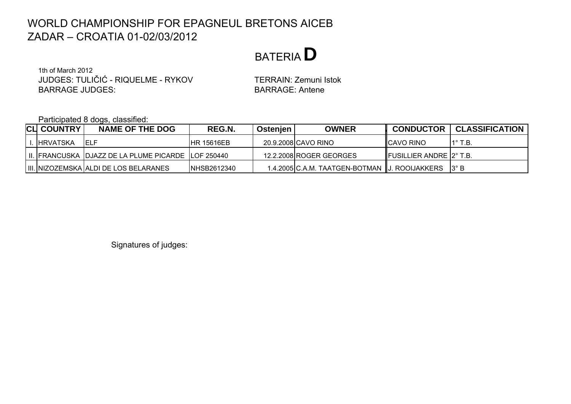BATERIA**D**

1th of March 2012JUDGES: TULIČIĆ - RIQUELME - RYKOVBARRAGE JUDGES:BARRAGE: Antene

TERRAIN: Zemuni Istok

Participated 8 dogs, classified:

| <b>CLI COUNTRY</b> | <b>NAME OF THE DOG</b>                               | REG.N.              | l Ostenjen | <b>OWNER</b>                                    | <b>CONDUCTOR</b>                 | <b>CLASSIFICATION</b> |
|--------------------|------------------------------------------------------|---------------------|------------|-------------------------------------------------|----------------------------------|-----------------------|
| I. <b>HRVATSKA</b> | IELF                                                 | <b>IHR 15616EB</b>  |            | 20.9.2008 CAVO RINO                             | <b>ICAVO RINO</b>                | $1^\circ$ T.B.        |
|                    | III. FRANCUSKA DJJAZZ DE LA PLUME PICARDE LOF 250440 |                     |            | 12.2.2008 ROGER GEORGES                         | <b>IFUSILLIER ANDRE 12° T.B.</b> |                       |
|                    | IIII. INIZOZEMSKA JALDI DE LOS BELARANES             | <b>INHSB2612340</b> |            | 1.4.2005 C.A.M. TAATGEN-BOTMAN   J. ROOIJAKKERS |                                  | $13^\circ$ B          |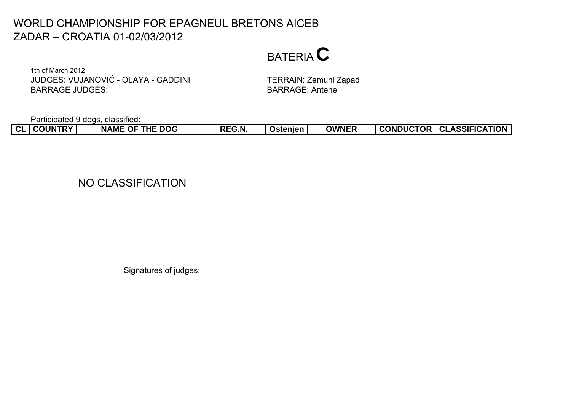## BATERIA**C**

1th of March 2012JUDGES: VUJANOVI Ć - OLAYA - GADDINIBARRAGE JUDGES:

 TERRAIN: Zemuni Zapad BARRAGE: Antene

Participated 9 dogs, classified:

| CONDUCTOR CLASSIFICATION<br>  CL   COUNTRY<br><b>OWNER</b><br><b>NAME OF THE DOG</b><br>REG.N.<br>Ostenien |
|------------------------------------------------------------------------------------------------------------|
|------------------------------------------------------------------------------------------------------------|

### NO CLASSIFICATION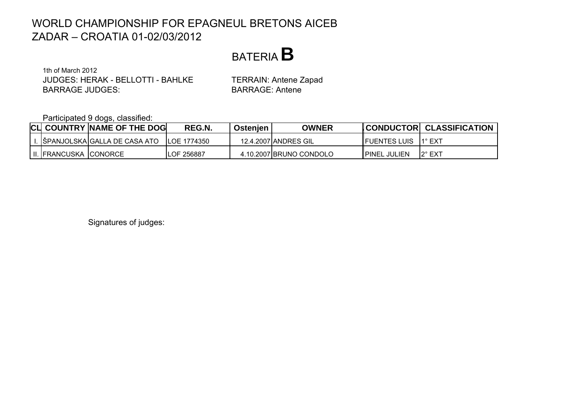

1th of March 2012JUDGES: HERAK - BELLOTTI - BAHLKEBARRAGE JUDGES:

 TERRAIN: Antene Zapad BARRAGE: Antene

Participated 9 dogs, classified:

|  |                           | <b>CLI COUNTRY NAME OF THE DOG</b> | REG.N.             | Ostenjen | OWNER                   |                      | CONDUCTOR CLASSIFICATION |
|--|---------------------------|------------------------------------|--------------------|----------|-------------------------|----------------------|--------------------------|
|  |                           | I.  ŠPANJOLSKA GALLA DE CASA ATO   | LOE 1774350        |          | 12.4.2007 ANDRES GIL    | <b>IFUENTES LUIS</b> | $11^{\circ}$ EXT         |
|  | II.   FRANCUSKA   CONORCE |                                    | <b>ILOF 256887</b> |          | 4.10.2007 BRUNO CONDOLO | <b>PINEL JULIEN</b>  | 12° EXT                  |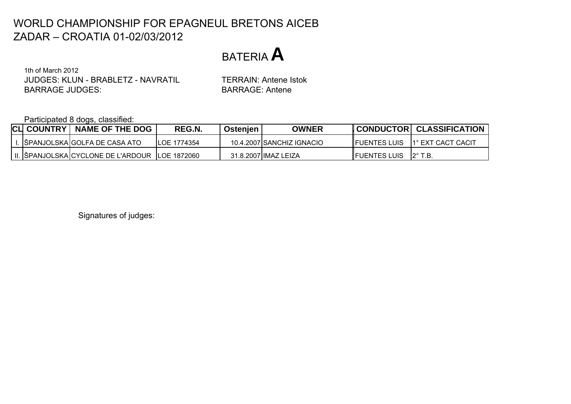BATERIA**A**

1th of March 2012JUDGES: KLUN - BRABLETZ - NAVRATILBARRAGE JUDGES:

 TERRAIN: Antene Istok BARRAGE: Antene

Participated 8 dogs, classified:

| <b>CLI COUNTRY</b> | <b>NAME OF THE DOG</b>                           | REG.N.              | Ostenien | <b>OWNER</b>              |                                     | CONDUCTOR CLASSIFICATION |
|--------------------|--------------------------------------------------|---------------------|----------|---------------------------|-------------------------------------|--------------------------|
|                    | I.  SPANJOLSKA GOLFA DE CASA ATO                 | <b>ILOE 1774354</b> |          | 10.4.2007 SANCHIZ IGNACIO | <b>IFUENTES LUIS</b>                | 1° EXT CACT CACIT        |
|                    | II. SPANJOLSKA CYCLONE DE L'ARDOUR   LOE 1872060 |                     |          | 31.8.2007 IIMAZ LEIZA     | <b>IFUENTES LUIS</b> $2^\circ$ T.B. |                          |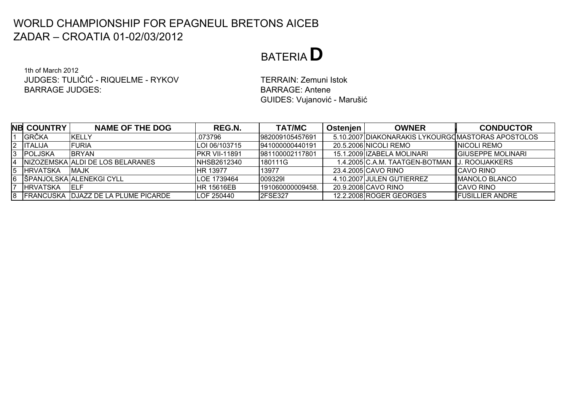# BATERIA**D**

1th of March 2012JUDGES: TULIČIĆ - RIQUELME - RYKOVBARRAGE JUDGES:

 TERRAIN: Zemuni Istok BARRAGE: AnteneGUIDES: Vujanović - Marušić

|                | <b>NB COUNTRY</b> | <b>NAME OF THE DOG</b>                | REG.N.                | <b>TAT/MC</b>    | <b>Ostenien</b> | <b>OWNER</b>                                       | <b>CONDUCTOR</b>          |
|----------------|-------------------|---------------------------------------|-----------------------|------------------|-----------------|----------------------------------------------------|---------------------------|
|                | <b>GRČKA</b>      | KELLY                                 | .073796               | 982009105457691  |                 | 5.10.2007 IDIAKONARAKIS LYKOURGOMASTORAS APOSTOLOS |                           |
|                | 2  ITALIJA        | <b>IFURIA</b>                         | LOI 06/103715         | 941000000440191  |                 | 20.5.2006 NICOLI REMO                              | <b>INICOLI REMO</b>       |
|                | 3 POLJSKA         | <b>IBRYAN</b>                         | <b>IPKR VII-11891</b> | 1981100002117801 |                 | 15.1.2009 IZABELA MOLINARI                         | <b>IGIUSEPPE MOLINARI</b> |
| $\overline{4}$ |                   | INIZOZEMSKA JALDI DE LOS BELARANES    | <b>NHSB2612340</b>    | 180111G          |                 | 1.4.2005 C.A.M. TAATGEN-BOTMAN IJ. ROOIJAKKERS     |                           |
| 5              | <b>IHRVATSKA</b>  | <b>IMAJK</b>                          | <b>IHR 13977</b>      | 13977            |                 | 23.4.2005 CAVO RINO                                | <b>ICAVO RINO</b>         |
|                |                   | 6 SPANJOLSKA ALENEKGI CYLL            | <b>LOE 1739464</b>    | 0093291          |                 | 4.10.2007 JULEN GUTIERREZ                          | <b>IMANOLO BLANCO</b>     |
|                | <b>IHRVATSKA</b>  | IELF                                  | <b>IHR 15616EB</b>    | 191060000009458. |                 | 20.9.2008 CAVO RINO                                | <b>ICAVO RINO</b>         |
|                |                   | 8 FRANCUSKA DJAZZ DE LA PLUME PICARDE | <b>LOF 250440</b>     | <b>2FSE327</b>   |                 | 12.2.2008 ROGER GEORGES                            | <b>FUSILLIER ANDRE</b>    |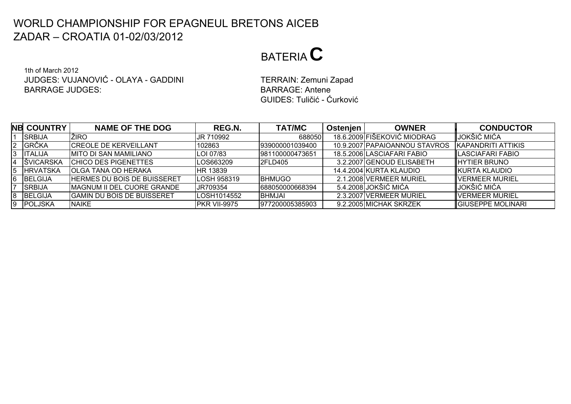# BATERIA**C**

1th of March 2012JUDGES: VUJANOVIĆ - OLAYA - GADDINIBARRAGE JUDGES:BARRAGE: Antene

 TERRAIN: Zemuni Zapad GUIDES: Tuličić - Ćurković

|   | <b>NB COUNTRY</b> | <b>NAME OF THE DOG</b>             | REG.N.             | <b>TAT/MC</b>    | Ostenjen | <b>OWNER</b>                  | <b>CONDUCTOR</b>         |
|---|-------------------|------------------------------------|--------------------|------------------|----------|-------------------------------|--------------------------|
|   | <b>SRBIJA</b>     | ŽIRO                               | JR 710992          | 688050           |          | 18.6.2009 FIŠEKOVIĆ MIODRAG   | LJOKŠIĆ MIĆA             |
|   | <b>GRČKA</b>      | <b>CREOLE DE KERVEILLANT</b>       | 102863             | 939000001039400  |          | 10.9.2007 PAPAIOANNOU STAVROS | KAPANDRITI ATTIKIS       |
|   | <b>ITALIJA</b>    | IMITO DI SAN MAMILIANO             | LOI 07/83          | 981100000473651  |          | 18.5.2006 LASCIAFARI FABIO    | <b>ILASCIAFARI FABIO</b> |
| 4 | <b>SVICARSKA</b>  | <b>CHICO DES PIGENETTES</b>        | LOS663209          | <b>2FLD405</b>   |          | 3.2.2007 GENOUD ELISABETH     | <b>IHYTIER BRUNO</b>     |
| ხ | <b>HRVATSKA</b>   | OLGA TANA OD HERAKA                | <b>HR 13839</b>    |                  |          | 14.4.2004 KURTA KLAUDIO       | <b>IKURTA KLAUDIO</b>    |
|   | <b>BELGIJA</b>    | <b>HERMES DU BOIS DE BUISSERET</b> | <b>LOSH 958319</b> | <b>BHMUGO</b>    |          | 2.1.2008 VERMEER MURIEL       | <b>IVERMEER MURIEL</b>   |
|   | <b>SRBIJA</b>     | IMAGNUM II DEL CUORE GRANDE        | JR709354           | 688050000668394  |          | 5.4.2008 JOKŠIĆ MIĆA          | <b>I</b> IJOKŠIĆ MIĆA    |
|   | BELGIJA           | IGAMIN DU BOIS DE BUISSERET        | LOSH1014552        | <b>BHMJAI</b>    |          | 2.3.2007 VERMEER MURIEL       | <b>IVERMEER MURIEL</b>   |
|   | POLJSKA           | NAIKE                              | PKR VII-9975       | 1977200005385903 |          | 9.2.2005 MICHAK SKRZEK        | <b>GIUSEPPE MOLINARI</b> |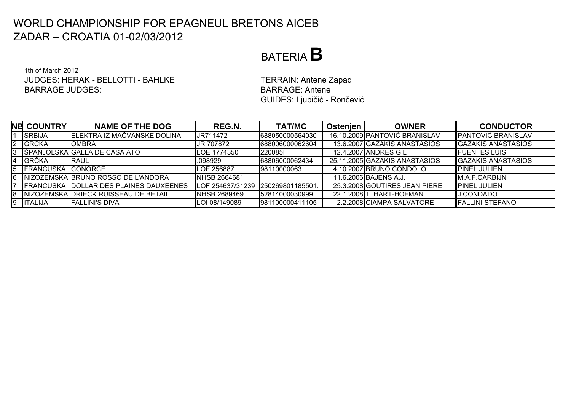## BATERIA**B**

1th of March 2012JUDGES: HERAK - BELLOTTI - BAHLKEBARRAGE JUDGES:

 TERRAIN: Antene Zapad BARRAGE: AnteneGUIDES: Ljubičić - Rončević

|    | <b>NB COUNTRY</b>        | <b>NAME OF THE DOG</b>                        | REG.N.           | <b>TAT/MC</b>   | <b>Ostenien</b> | <b>OWNER</b>                  | <b>CONDUCTOR</b>            |
|----|--------------------------|-----------------------------------------------|------------------|-----------------|-----------------|-------------------------------|-----------------------------|
|    | <b>SRBIJA</b>            | IELEKTRA IZ MAČVANSKE DOLINA                  | JR711472         | 688050000564030 |                 | 16.10.2009 PANTOVIĆ BRANISLAV | <b>I</b> PANTOVIĆ BRANISLAV |
|    | <b>GRČKA</b>             | <b>OMBRA</b>                                  | JR 707872        | 688006000062604 |                 | 13.6.2007 GAZAKIS ANASTASIOS  | <b>GAZAKIS ANASTASIOS</b>   |
| .3 |                          | SPANJOLSKA GALLA DE CASA ATO                  | LOE 1774350      | 2200851         |                 | <b>12.4.2007IANDRES GIL</b>   | <b>I</b> FUENTES LUIS       |
| 4  | <b>GRČKA</b>             | <b>IRAUL</b>                                  | .098929          | 68806000062434  |                 | 25.11.2005 GAZAKIS ANASTASIOS | <b>IGAZAKIS ANASTASIOS</b>  |
| 5  | <b>FRANCUSKA CONORCE</b> |                                               | LOF 256887       | 98110000063     |                 | 4.10.2007 BRUNO CONDOLO       | IPINEL JULIEN               |
| 16 |                          | INIZOZEMSKA IBRUNO ROSSO DE L'ANDORA          | INHSB 2664681    |                 |                 | 11.6.2006 BAJENS A.J.         | IM.A.F.CARBIJN              |
|    |                          | <b>FRANCUSKA DOLLAR DES PLAINES DAUXEENES</b> | LOF 254637/31239 | 250269801185501 |                 | 25.3.2008 GOUTIRES JEAN PIERE | IPINEL JULIEN               |
| 18 |                          | NIZOZEMSKA DRIECK RUISSEAU DE BETAIL          | NHSB 2689469     | 52814000030999  |                 | 22.1.2008 T. HART-HOFMAN      | <b>J.CONDADO</b>            |
|    | <b>ITALIJA</b>           | <b>FALLINI'S DIVA</b>                         | LOI 08/149089    | 981100000411105 |                 | 2.2.2008 CIAMPA SALVATORE     | <b>IFALLINI STEFANO</b>     |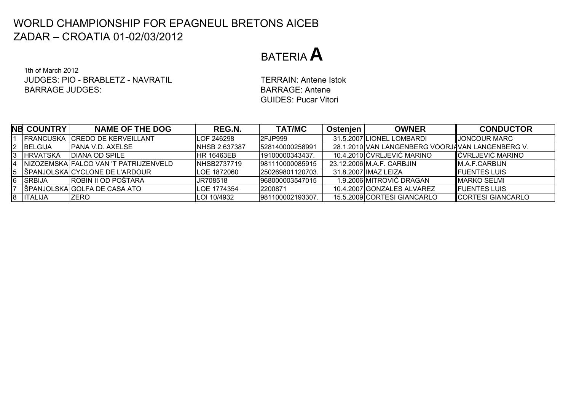## BATERIA**A**

1th of March 2012JUDGES: PIO - BRABLETZ - NAVRATILBARRAGE JUDGES:

 TERRAIN: Antene Istok BARRAGE: AnteneGUIDES: Pucar Vitori

|    | <b>NB COUNTRY</b> | <b>NAME OF THE DOG</b>                  | REG.N.                | <b>TAT/MC</b>     | Ostenjen | <b>OWNER</b>                                     | <b>CONDUCTOR</b>         |
|----|-------------------|-----------------------------------------|-----------------------|-------------------|----------|--------------------------------------------------|--------------------------|
|    |                   | <b>IFRANCUSKA ICREDO DE KERVEILLANT</b> | <b>ILOF 246298</b>    | I2FJP999          |          | 31.5.2007 LIONEL LOMBARDI                        | <b>IJONCOUR MARC</b>     |
|    | 2 BELGIJA         | IPANA V.D. AXELSE                       | <b>INHSB 2.637387</b> | 1528140000258991  |          | 28.1.2010 VAN LANGENBERG VOORJAVAN LANGENBERG V. |                          |
| 13 | <b>IHRVATSKA</b>  | IDIANA OD SPILE                         | <b>IHR 16463EB</b>    | 19100000343437.   |          | 10.4.2010 ČVRLJEVIĆ MARINO                       | <b>IČVRLJEVIĆ MARINO</b> |
| Ι4 |                   | INIZOZEMSKA IFALCO VAN 'T PATRIJZENVELD | <b>INHSB2737719</b>   | 981110000085915   |          | 23.12.2006 M.A.F. CARBJIN                        | IM.A.F.CARBIJN           |
|    |                   | 5 SPANJOLSKA CYCLONE DE L'ARDOUR        | <b>ILOE 1872060</b>   | 1250269801120703. |          | 31.8.2007 IIMAZ LEIZA                            | <b>IFUENTES LUIS</b>     |
|    | 6 SRBIJA          | <b>ROBIN II OD POŠTARA</b>              | UR708518              | 968000003547015   |          | 1.9.2006 MITROVIĆ DRAGAN                         | <b>IMARKO SELMI</b>      |
|    |                   | SPANJOLSKA GOLFA DE CASA ATO            | LOE 1774354           | 2200871           |          | 10.4.2007 GONZALES ALVAREZ                       | <b>IFUENTES LUIS</b>     |
|    | 8  ITALIJA        | IZERO                                   | LOI 10/4932           | 981100002193307   |          | 15.5.2009 CORTESI GIANCARLO                      | CORTESI GIANCARLO        |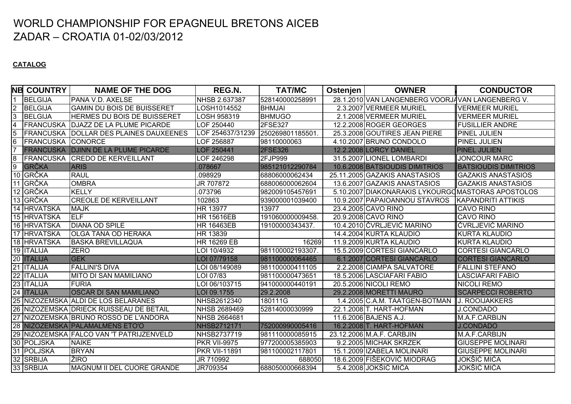#### **CATALOG**

|                 | NB COUNTRY               | <b>NAME OF THE DOG</b>                        | REG.N.               | <b>TAT/MC</b>    | Ostenjen | <b>OWNER</b>                                      | <b>CONDUCTOR</b>            |
|-----------------|--------------------------|-----------------------------------------------|----------------------|------------------|----------|---------------------------------------------------|-----------------------------|
| $\overline{1}$  | BELGIJA                  | <b>PANA V.D. AXELSE</b>                       | NHSB 2.637387        | 528140000258991  |          | 28.1.2010 VAN LANGENBERG VOORJAVAN LANGENBERG V.  |                             |
| امرا            | BELGIJA                  | <b>GAMIN DU BOIS DE BUISSERET</b>             | LOSH1014552          | <b>BHMJAI</b>    |          | 2.3.2007 VERMEER MURIEL                           | <b>VERMEER MURIEL</b>       |
|                 | <b>BELGIJA</b>           | HERMES DU BOIS DE BUISSERET                   | LOSH 958319          | <b>BHMUGO</b>    |          | 2.1.2008 VERMEER MURIEL                           | <b>VERMEER MURIEL</b>       |
| $\overline{4}$  | <b>FRANCUSKA</b>         | <b>DJAZZ DE LA PLUME PICARDE</b>              | LOF 250440           | 2FSE327          |          | 12.2.2008 ROGER GEORGES                           | <b>FUSILLIER ANDRE</b>      |
| $\overline{5}$  |                          | <b>FRANCUSKA DOLLAR DES PLAINES DAUXEENES</b> | LOF 254637/31239     | 250269801185501  |          | 25.3.2008 GOUTIRES JEAN PIERE                     | <b>PINEL JULIEN</b>         |
| $6\overline{6}$ | <b>FRANCUSKA CONORCE</b> |                                               | LOF 256887           | 98110000063      |          | 4.10.2007 BRUNO CONDOLO                           | <b>PINEL JULIEN</b>         |
| $\overline{7}$  |                          | <b>FRANCUSKA DJINN DE LA PLUME PICARDE</b>    | LOF 250441           | <b>2FSE326</b>   |          | 12.2.2008 LORCY DANIEL                            | <b>PINEL JULIEN</b>         |
| $\infty$        |                          | <b>FRANCUSKA CREDO DE KERVEILLANT</b>         | LOF 246298           | 2FJP999          |          | 31.5.2007 LIONEL LOMBARDI                         | <b>JONCOUR MARC</b>         |
| 9               | <b>GRČKA</b>             | <b>ARIS</b>                                   | 078667               | 985121012290784  |          | 10.6.2008 BATSIOUDIS DIMITRIOS                    | <b>BATSIOUDIS DIMITRIOS</b> |
|                 | 10 GRČKA                 | <b>RAUL</b>                                   | .098929              | 68806000062434   |          | 25.11.2005 GAZAKIS ANASTASIOS                     | <b>GAZAKIS ANASTASIOS</b>   |
|                 | 11 GRČKA                 | <b>OMBRA</b>                                  | JR 707872            | 688006000062604  |          | 13.6.2007 GAZAKIS ANASTASIOS                      | <b>GAZAKIS ANASTASIOS</b>   |
|                 | 12 GRČKA                 | <b>KELLY</b>                                  | .073796              | 982009105457691  |          | 5.10.2007 DIAKONARAKIS LYKOURGOMASTORAS APOSTOLOS |                             |
|                 | 13 GRČKA                 | <b>CREOLE DE KERVEILLANT</b>                  | 102863               | 939000001039400  |          | 10.9.2007 PAPAIOANNOU STAVROS                     | KAPANDRITI ATTIKIS          |
|                 | 14 HRVATSKA              | <b>MAJK</b>                                   | HR 13977             | 13977            |          | 23.4.2005 CAVO RINO                               | <b>CAVO RINO</b>            |
|                 | 15 HRVATSKA              | <b>IELF</b>                                   | <b>HR 15616EB</b>    | 191060000009458. |          | 20.9.2008 CAVO RINO                               | <b>CAVO RINO</b>            |
|                 | 16 HRVATSKA              | <b>DIANA OD SPILE</b>                         | <b>HR 16463EB</b>    | 19100000343437.  |          | 10.4.2010 ČVRLJEVIĆ MARINO                        | ČVRLJEVIĆ MARINO            |
|                 | 17 HRVATSKA              | <b>OLGA TANA OD HERAKA</b>                    | HR 13839             |                  |          | 14.4.2004 KURTA KLAUDIO                           | <b>KURTA KLAUDIO</b>        |
|                 | 18 HRVATSKA              | <b>BASKA BREVILLAQUA</b>                      | <b>HR 16269 EB</b>   | 16269            |          | 11.9.2009 KURTA KLAUDIO                           | <b>KURTA KLAUDIO</b>        |
|                 | 19 <b>ITALIJA</b>        | <b>ZERO</b>                                   | LOI 10/4932          | 981100002193307. |          | 15.5.2009 CORTESI GIANCARLO                       | <b>CORTESI GIANCARLO</b>    |
|                 | 20 ITALIJA               | <b>GEK</b>                                    | LOI 07/79158         | 981100000064465  |          | 6.1.2007 CORTESI GIANCARLO                        | <b>CORTESI GIANCARLO</b>    |
|                 | 21 ITALIJA               | <b>FALLINI'S DIVA</b>                         | LOI 08/149089        | 981100000411105  |          | 2.2.2008 CIAMPA SALVATORE                         | <b>FALLINI STEFANO</b>      |
|                 | 22 ITALIJA               | <b>MITO DI SAN MAMILIANO</b>                  | LOI 07/83            | 981100000473651  |          | 18.5.2006 LASCIAFARI FABIO                        | <b>LASCIAFARI FABIO</b>     |
|                 | 23 ITALIJA               | <b>FURIA</b>                                  | LOI 06/103715        | 941000000440191  |          | 20.5.2006 NICOLI REMO                             | <b>NICOLI REMO</b>          |
|                 | 24 ITALIJA               | <b>OSCAR DI SAN MAMILIANO</b>                 | LOI 09.1755          | 29.2.2008        |          | 29.2.2008 MORETTI MAURO                           | <b>SCARPECCI ROBERTO</b>    |
|                 |                          | 25 NIZOZEMSKA ALDI DE LOS BELARANES           | NHSB2612340          | 180111G          |          | 1.4.2005 C.A.M. TAATGEN-BOTMAN                    | <b>J. ROOIJAKKERS</b>       |
|                 |                          | 26 NIZOZEMSKA DRIECK RUISSEAU DE BETAIL       | NHSB 2689469         | 52814000030999   |          | 22.1.2008 T. HART-HOFMAN                          | <b>J.CONDADO</b>            |
|                 |                          | 27 NIZOZEMSKA BRUNO ROSSO DE L'ANDORA         | NHSB 2664681         |                  |          | 11.6.2006 BAJENS A.J.                             | M.A.F.CARBIJN               |
|                 |                          | 28 NIZOZEMSKA PALAMALMENS ETO'O               | <b>NHSB2712171</b>   | 752000990005416  |          | 16.2.2008 T. HART-HOFMAN                          | <b>J.CONDADO</b>            |
|                 |                          | 29 NIZOZEMSKA FALCO VAN 'T PATRIJZENVELD      | NHSB2737719          | 981110000085915  |          | 23.12.2006 M.A.F. CARBJIN                         | M.A.F.CARBIJN               |
|                 | 30 POLJSKA               | <b>NAIKE</b>                                  | <b>PKR VII-9975</b>  | 977200005385903  |          | 9.2.2005 MICHAK SKRZEK                            | <b>GIUSEPPE MOLINARI</b>    |
| 31              | POLJSKA                  | <b>BRYAN</b>                                  | <b>PKR VII-11891</b> | 981100002117801  |          | 15.1.2009 IZABELA MOLINARI                        | <b>GIUSEPPE MOLINARI</b>    |
|                 | 32 SRBIJA                | ŽIRO                                          | JR 710992            | 688050           |          | 18.6.2009 FIŠEKOVIĆ MIODRAG                       | JOKŠIĆ MIĆA                 |
|                 | 33 SRBIJA                | MAGNUM II DEL CUORE GRANDE                    | JR709354             | 688050000668394  |          | 5.4.2008 JOKŠIĆ MIĆA                              | JOKŠIĆ MIĆA                 |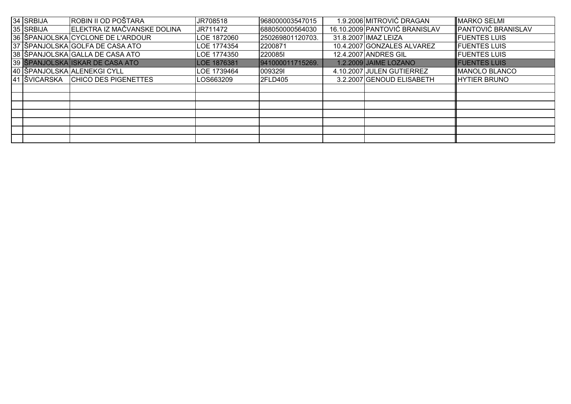| 34 SRBIJA | ROBIN II OD POŠTARA               | JR708518    | 968000003547015  | 1.9.2006 MITROVIĆ DRAGAN      | <b>MARKO SELMI</b>        |
|-----------|-----------------------------------|-------------|------------------|-------------------------------|---------------------------|
| 35 SRBIJA | ELEKTRA IZ MAČVANSKE DOLINA       | JR711472    | 688050000564030  | 16.10.2009 PANTOVIĆ BRANISLAV | <b>PANTOVIĆ BRANISLAV</b> |
|           | 36 ŠPANJOLSKA CYCLONE DE L'ARDOUR | LOE 1872060 | 250269801120703. | 31.8.2007 IMAZ LEIZA          | <b>FUENTES LUIS</b>       |
|           | 37 ŠPANJOLSKA GOLFA DE CASA ATO   | LOE 1774354 | 2200871          | 10.4.2007 GONZALES ALVAREZ    | <b>FUENTES LUIS</b>       |
|           | 38 SPANJOLSKA GALLA DE CASA ATO   | LOE 1774350 | 2200851          | 12.4.2007 ANDRES GIL          | <b>FUENTES LUIS</b>       |
|           | 39 ŠPANJOLSKA ISKAR DE CASA ATO   | LOE 1876381 | 941000011715269. | 1.2.2009 JAIME LOZANO         | <b>FUENTES LUIS</b>       |
|           | 40 SPANJOLSKA ALENEKGI CYLL       | LOE 1739464 | 0093291          | 4.10.2007 JULEN GUTIERREZ     | MANOLO BLANCO             |
|           | 41 ŠVICARSKA CHICO DES PIGENETTES | LOS663209   | 2FLD405          | 3.2.2007 GENOUD ELISABETH     | <b>HYTIER BRUNO</b>       |
|           |                                   |             |                  |                               |                           |
|           |                                   |             |                  |                               |                           |
|           |                                   |             |                  |                               |                           |
|           |                                   |             |                  |                               |                           |
|           |                                   |             |                  |                               |                           |
|           |                                   |             |                  |                               |                           |
|           |                                   |             |                  |                               |                           |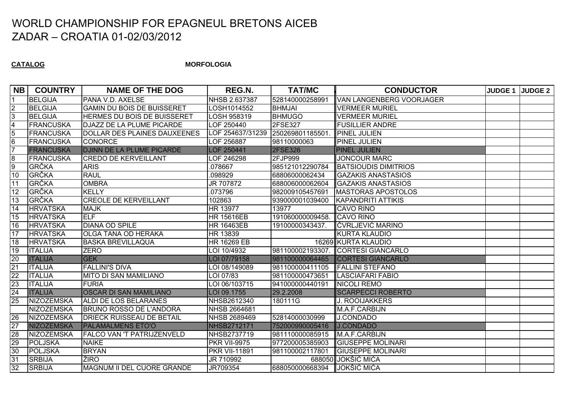**CATALOG**

**MORFOLOGIA**

| <b>NB</b>               | <b>COUNTRY</b>    | <b>NAME OF THE DOG</b>            | REG.N.                            | <b>TAT/MC</b>    | <b>CONDUCTOR</b>            | <b>JUDGE 1 JUDGE 2</b> |
|-------------------------|-------------------|-----------------------------------|-----------------------------------|------------------|-----------------------------|------------------------|
|                         | <b>BELGIJA</b>    | PANA V.D. AXELSE                  | NHSB 2.637387                     | 528140000258991  | VAN LANGENBERG VOORJAGER    |                        |
| <u>ر</u>                | <b>BELGIJA</b>    | <b>GAMIN DU BOIS DE BUISSERET</b> | LOSH1014552                       | <b>BHMJAI</b>    | <b>VERMEER MURIEL</b>       |                        |
| ادی                     | <b>BELGIJA</b>    | HERMES DU BOIS DE BUISSERET       | LOSH 958319                       | <b>BHMUGO</b>    | <b>VERMEER MURIEL</b>       |                        |
| $\overline{\mathbf{4}}$ | FRANCUSKA         | DJAZZ DE LA PLUME PICARDE         | LOF 250440                        | 2FSE327          | <b>FUSILLIER ANDRE</b>      |                        |
| $\overline{5}$          | FRANCUSKA         | DOLLAR DES PLAINES DAUXEENES      | LOF 254637/31239 250269801185501. |                  | <b>PINEL JULIEN</b>         |                        |
| 6                       | FRANCUSKA         | <b>CONORCE</b>                    | LOF 256887                        | 98110000063      | <b>PINEL JULIEN</b>         |                        |
| $\overline{7}$          | <b>FRANCUSKA</b>  | <b>DJINN DE LA PLUME PICARDE</b>  | <b>LOF 250441</b>                 | <b>2FSE326</b>   | <b>PINEL JULIEN</b>         |                        |
| $\overline{8}$          | FRANCUSKA         | <b>CREDO DE KERVEILLANT</b>       | OF 246298                         | 2FJP999          | <b>JONCOUR MARC</b>         |                        |
| 9                       | <b>GRČKA</b>      | <b>ARIS</b>                       | .078667                           | 985121012290784  | <b>BATSIOUDIS DIMITRIOS</b> |                        |
| 10                      | <b>GRČKA</b>      | <b>RAUL</b>                       | .098929                           | 68806000062434   | <b>GAZAKIS ANASTASIOS</b>   |                        |
| 11                      | <b>GRČKA</b>      | <b>OMBRA</b>                      | JR 707872                         | 688006000062604  | <b>GAZAKIS ANASTASIOS</b>   |                        |
| 12                      | GRČKA             | <b>KELLY</b>                      | 073796                            | 982009105457691  | <b>MASTORAS APOSTOLOS</b>   |                        |
| 13                      | GRČKA             | <b>CREOLE DE KERVEILLANT</b>      | 102863                            | 939000001039400  | <b>KAPANDRITI ATTIKIS</b>   |                        |
| 14                      | <b>HRVATSKA</b>   | <b>MAJK</b>                       | HR 13977                          | 13977            | <b>CAVO RINO</b>            |                        |
| 15                      | <b>HRVATSKA</b>   | ELF                               | <b>HR 15616EB</b>                 | 191060000009458. | <b>CAVO RINO</b>            |                        |
| 16                      | <b>HRVATSKA</b>   | <b>DIANA OD SPILE</b>             | <b>HR 16463EB</b>                 | 19100000343437.  | ČVRLJEVIĆ MARINO            |                        |
| 17                      | <b>HRVATSKA</b>   | <b>OLGA TANA OD HERAKA</b>        | HR 13839                          |                  | <b>KURTA KLAUDIO</b>        |                        |
| 18                      | <b>HRVATSKA</b>   | <b>BASKA BREVILLAQUA</b>          | HR 16269 EB                       |                  | 16269 KURTA KLAUDIO         |                        |
| 19                      | <b>ITALIJA</b>    | <b>ZERO</b>                       | LOI 10/4932                       | 981100002193307. | <b>CORTESI GIANCARLO</b>    |                        |
| 20                      | <b>ITALIJA</b>    | <b>GEK</b>                        | LOI 07/79158                      | 981100000064465  | <b>CORTESI GIANCARLO</b>    |                        |
| 21                      | <b>ITALIJA</b>    | <b>FALLINI'S DIVA</b>             | LOI 08/149089                     | 981100000411105  | FALLINI STEFANO             |                        |
| 22                      | <b>ITALIJA</b>    | <b>MITO DI SAN MAMILIANO</b>      | LOI 07/83                         | 981100000473651  | <b>LASCIAFARI FABIO</b>     |                        |
| 23                      | <b>ITALIJA</b>    | <b>FURIA</b>                      | LOI 06/103715                     | 941000000440191  | <b>NICOLI REMO</b>          |                        |
| 24                      | <b>ITALIJA</b>    | <b>OSCAR DI SAN MAMILIANO</b>     | LOI 09.1755                       | 29.2.2008        | <b>SCARPECCI ROBERTO</b>    |                        |
| 25                      | NIZOZEMSKA        | ALDI DE LOS BELARANES             | NHSB2612340                       | 180111G          | <b>J. ROOIJAKKERS</b>       |                        |
|                         | <b>NIZOZEMSKA</b> | <b>BRUNO ROSSO DE L'ANDORA</b>    | NHSB 2664681                      |                  | M.A.F.CARBIJN               |                        |
| 26                      | NIZOZEMSKA        | <b>DRIECK RUISSEAU DE BETAIL</b>  | NHSB 2689469                      | 52814000030999   | <b>J.CONDADO</b>            |                        |
| 27                      | <b>NIZOZEMSKA</b> | <b>PALAMALMENS ETO'O</b>          | NHSB2712171                       | 752000990005416  | J.CONDADO                   |                        |
| 28                      | NIZOZEMSKA        | <b>FALCO VAN 'T PATRIJZENVELD</b> | NHSB2737719                       | 981110000085915  | M.A.F.CARBIJN               |                        |
| 29                      | POLJSKA           | <b>NAIKE</b>                      | <b>PKR VII-9975</b>               | 977200005385903  | <b>GIUSEPPE MOLINARI</b>    |                        |
| 30                      | <b>POLJSKA</b>    | <b>BRYAN</b>                      | <b>PKR VII-11891</b>              | 981100002117801  | <b>GIUSEPPE MOLINARI</b>    |                        |
| 31                      | <b>SRBIJA</b>     | ŽIRO                              | JR 710992                         |                  | 688050 JOKŠIĆ MIĆA          |                        |
| 32                      | <b>SRBIJA</b>     | MAGNUM II DEL CUORE GRANDE        | JR709354                          | 688050000668394  | <b>JOKŠIĆ MIĆA</b>          |                        |